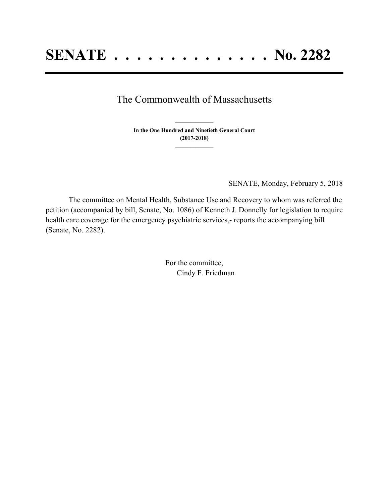## The Commonwealth of Massachusetts

**In the One Hundred and Ninetieth General Court (2017-2018) \_\_\_\_\_\_\_\_\_\_\_\_\_\_\_**

**\_\_\_\_\_\_\_\_\_\_\_\_\_\_\_**

SENATE, Monday, February 5, 2018

The committee on Mental Health, Substance Use and Recovery to whom was referred the petition (accompanied by bill, Senate, No. 1086) of Kenneth J. Donnelly for legislation to require health care coverage for the emergency psychiatric services,- reports the accompanying bill (Senate, No. 2282).

> For the committee, Cindy F. Friedman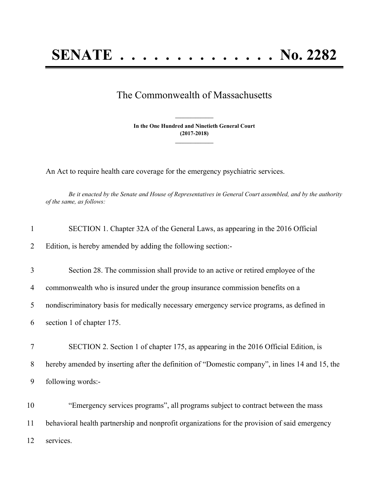## The Commonwealth of Massachusetts

**In the One Hundred and Ninetieth General Court (2017-2018) \_\_\_\_\_\_\_\_\_\_\_\_\_\_\_**

**\_\_\_\_\_\_\_\_\_\_\_\_\_\_\_**

An Act to require health care coverage for the emergency psychiatric services.

Be it enacted by the Senate and House of Representatives in General Court assembled, and by the authority *of the same, as follows:*

| 1  | SECTION 1. Chapter 32A of the General Laws, as appearing in the 2016 Official                   |
|----|-------------------------------------------------------------------------------------------------|
| 2  | Edition, is hereby amended by adding the following section:-                                    |
| 3  | Section 28. The commission shall provide to an active or retired employee of the                |
| 4  | commonwealth who is insured under the group insurance commission benefits on a                  |
| 5  | nondiscriminatory basis for medically necessary emergency service programs, as defined in       |
| 6  | section 1 of chapter 175.                                                                       |
| 7  | SECTION 2. Section 1 of chapter 175, as appearing in the 2016 Official Edition, is              |
| 8  | hereby amended by inserting after the definition of "Domestic company", in lines 14 and 15, the |
| 9  | following words:-                                                                               |
| 10 | "Emergency services programs", all programs subject to contract between the mass                |
| 11 | behavioral health partnership and nonprofit organizations for the provision of said emergency   |
| 12 | services.                                                                                       |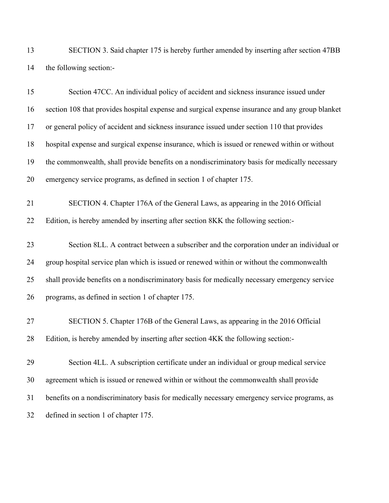SECTION 3. Said chapter 175 is hereby further amended by inserting after section 47BB the following section:-

| 15 | Section 47CC. An individual policy of accident and sickness insurance issued under              |
|----|-------------------------------------------------------------------------------------------------|
| 16 | section 108 that provides hospital expense and surgical expense insurance and any group blanket |
| 17 | or general policy of accident and sickness insurance issued under section 110 that provides     |
| 18 | hospital expense and surgical expense insurance, which is issued or renewed within or without   |
| 19 | the commonwealth, shall provide benefits on a nondiscriminatory basis for medically necessary   |
| 20 | emergency service programs, as defined in section 1 of chapter 175.                             |
| 21 | SECTION 4. Chapter 176A of the General Laws, as appearing in the 2016 Official                  |
| 22 | Edition, is hereby amended by inserting after section 8KK the following section:-               |
| 23 | Section 8LL. A contract between a subscriber and the corporation under an individual or         |
| 24 | group hospital service plan which is issued or renewed within or without the commonwealth       |
| 25 | shall provide benefits on a nondiscriminatory basis for medically necessary emergency service   |
| 26 | programs, as defined in section 1 of chapter 175.                                               |
| 27 | SECTION 5. Chapter 176B of the General Laws, as appearing in the 2016 Official                  |
| 28 | Edition, is hereby amended by inserting after section 4KK the following section:-               |
| 29 | Section 4LL. A subscription certificate under an individual or group medical service            |
| 30 | agreement which is issued or renewed within or without the commonwealth shall provide           |
| 31 | benefits on a nondiscriminatory basis for medically necessary emergency service programs, as    |
| 32 | defined in section 1 of chapter 175.                                                            |